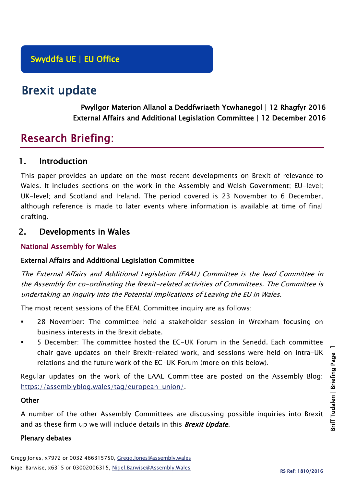# Brexit update

Pwyllgor Materion Allanol a Deddfwriaeth Ycwhanegol | 12 Rhagfyr 2016 External Affairs and Additional Legislation Committee | 12 December 2016

# Research Briefing:

# 1. Introduction

This paper provides an update on the most recent developments on Brexit of relevance to Wales. It includes sections on the work in the Assembly and Welsh Government; EU-level; UK-level; and Scotland and Ireland. The period covered is 23 November to 6 December, although reference is made to later events where information is available at time of final drafting.

# 2. Developments in Wales

## National Assembly for Wales

## External Affairs and Additional Legislation Committee

The External Affairs and Additional Legislation (EAAL) Committee is the lead Committee in the Assembly for co-ordinating the Brexit-related activities of Committees. The Committee is undertaking an inquiry into the Potential Implications of Leaving the EU in Wales.

The most recent sessions of the EEAL Committee inquiry are as follows:

- 28 November: The committee held a stakeholder session in Wrexham focusing on business interests in the Brexit debate.
- 5 December: The committee hosted the EC-UK Forum in the Senedd. Each committee chair gave updates on their Brexit-related work, and sessions were held on intra-UK relations and the future work of the EC-UK Forum (more on this below).

Regular updates on the work of the EAAL Committee are posted on the Assembly Blog: [https://assemblyblog.wales/tag/european-union/.](https://assemblyblog.wales/tag/european-union/)

## **Other**

A number of the other Assembly Committees are discussing possible inquiries into Brexit and as these firm up we will include details in this **Brexit Update**.

## Plenary debates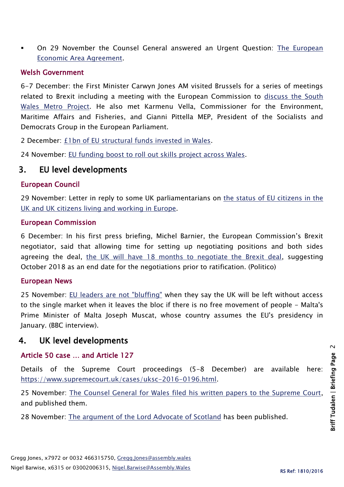On 29 November the Counsel General answered an Urgent Question: [The European](http://www.assembly.wales/en/bus-home/pages/rop.aspx?meetingid=4008&assembly=5&c=Record%20of%20Proceedings#445275)  [Economic Area Agreement.](http://www.assembly.wales/en/bus-home/pages/rop.aspx?meetingid=4008&assembly=5&c=Record%20of%20Proceedings#445275)

#### Welsh Government

6-7 December: the First Minister Carwyn Jones AM visited Brussels for a series of meetings related to Brexit including a meeting with the European Commission to discuss the South [Wales Metro Project.](http://gov.wales/newsroom/firstminister/2016/161207-far-more-than-just-a-transport-scheme/?lang=en) He also met Karmenu Vella, Commissioner for the Environment, Maritime Affairs and Fisheries, and Gianni Pittella MEP, President of the Socialists and Democrats Group in the European Parliament.

2 December: [£1bn of EU structural funds invested in Wales.](http://gov.wales/newsroom/finance1/2016/58774226/?lang=en)

24 November: [EU funding boost to roll out skills project across Wales.](http://gov.wales/newsroom/finance1/2016/58758762/?lang=en)

# 3. EU level developments

#### European Council

29 November: Letter in reply to some UK parliamentarians on [the status of EU citizens in the](http://www.consilium.europa.eu/press/press-releases/2016/11/29-tusk-letter-uk-mps/)  [UK and UK citizens living and working in Europe.](http://www.consilium.europa.eu/press/press-releases/2016/11/29-tusk-letter-uk-mps/)

#### European Commission

6 December: In his first press briefing, Michel Barnier, the European Commission's Brexit negotiator, said that allowing time for setting up negotiating positions and both sides agreeing the deal, [the UK will have 18 months to negotiate the Brexit deal,](http://www.politico.eu/article/michel-barnier-uk-will-have-18-months-to-secure-brexit-deal-article-50/) suggesting October 2018 as an end date for the negotiations prior to ratification. (Politico)

#### European News

25 November: [EU leaders are not "bluffing"](http://www.bbc.co.uk/news/uk-politics-38100561) when they say the UK will be left without access to the single market when it leaves the bloc if there is no free movement of people - Malta's Prime Minister of Malta Joseph Muscat, whose country assumes the EU's presidency in January. (BBC interview).

# 4. UK level developments

## Article 50 case … and Article 127

Details of the Supreme Court proceedings (5-8 December) are available here: [https://www.supremecourt.uk/cases/uksc-2016-0196.html.](https://www.supremecourt.uk/cases/uksc-2016-0196.html)

25 November: [The Counsel General for Wales filed his written papers to the Supreme Court,](http://gov.wales/about/cabinet/cabinetstatements/2016-new/counselgeneralwrittensubtosupremecourt/?lang=en) and published them.

28 November: [The argument of the Lord Advocate of](http://www.gov.scot/Resource/0051/00510602.pdf?utm_medium=social&utm_campaign=SocialSignIn&utm_source=Twitter) Scotland has been published.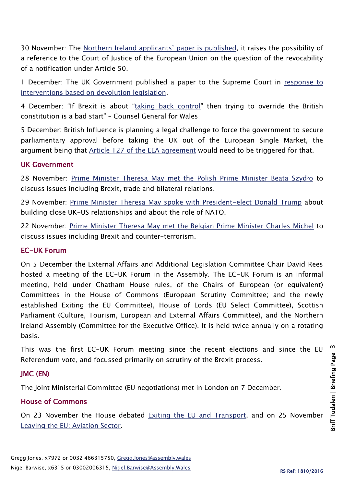30 November: The Norther[n Ireland applicants' paper is published](https://jolyonmaugham.files.wordpress.com/2016/11/agnew-and-others-uksc-written-case.pdf), it raises the possibility of a reference to the Court of Justice of the European Union on the question of the revocability of a notification under Article 50.

1 December: The UK Government published a paper to the Supreme Court in response to [interventions based on devolution legislation.](https://www.gov.uk/government/uploads/system/uploads/attachment_data/file/574047/Supplementary_Supreme_Court_Printed_Case_of_the_Secretary_of_State_for_Exiting_the_European_Union.PDF)

4 December: "If Brexit is about "[taking back control](http://gov.wales/newsroom/firstminister/2016/161204sc/?lang=en)" then trying to override the British constitution is a bad start" – Counsel General for Wales

5 December: British Influence is planning a legal challenge to force the government to secure parliamentary approval before taking the UK out of the European Single Market, the argument being that [Article 127 of the EEA agreement](http://uk.businessinsider.com/interview-british-influence-eu-single-market-brexit-legal-case-article-50-article-127-2016-12?r=US&IR=T) would need to be triggered for that.

#### UK Government

28 November: [Prime Minister Theresa May met the Polish Prime Minister Beata Szyd](https://www.gov.uk/government/speeches/pm-meeting-with-prime-minister-beata-szydlo-of-poland-28-november-2016)ło to discuss issues including Brexit, trade and bilateral relations.

29 November: [Prime Minister Theresa May spoke with President-elect Donald Trump](https://www.gov.uk/government/news/pm-call-with-president-elect-donald-trump-29-november-2016) about building close UK-US relationships and about the role of NATO.

22 November: [Prime Minister Theresa May met the Belgian Prime Minister Charles Michel](https://www.gov.uk/government/news/pm-meeting-with-prime-minister-michel-of-belgium-22-november-2016) to discuss issues including Brexit and counter-terrorism.

#### EC-UK Forum

On 5 December the External Affairs and Additional Legislation Committee Chair David Rees hosted a meeting of the EC-UK Forum in the Assembly. The EC-UK Forum is an informal meeting, held under Chatham House rules, of the Chairs of European (or equivalent) Committees in the House of Commons (European Scrutiny Committee; and the newly established Exiting the EU Committee), House of Lords (EU Select Committee), Scottish Parliament (Culture, Tourism, European and External Affairs Committee), and the Northern Ireland Assembly (Committee for the Executive Office). It is held twice annually on a rotating basis.

This was the first EC-UK Forum meeting since the recent elections and since the EU Referendum vote, and focussed primarily on scrutiny of the Brexit process.

## JMC (EN)

The Joint Ministerial Committee (EU negotiations) met in London on 7 December.

## House of Commons

On 23 November the House debated [Exiting the EU and Transport,](https://hansard.parliament.uk/commons/2016-11-23/debates/DD7548E4-34A9-438A-9C26-957501A41C03/ExitingTheEUAndTransport) and on 25 November [Leaving the EU: Aviation Sector.](https://hansard.parliament.uk/commons/2016-11-25/debates/16112551000003/LeavingTheEUAviationSector)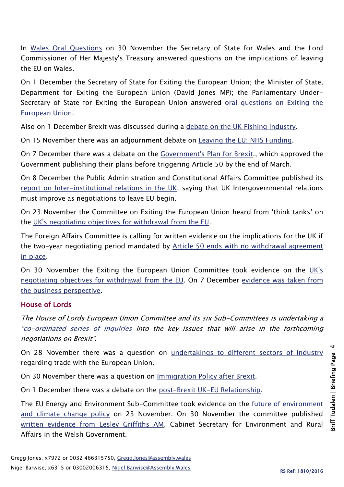In [Wales Oral](https://hansard.parliament.uk/commons/2016-11-30/debates/16113044000014/LeavingTheEU) Questions on 30 November the Secretary of State for Wales and the Lord Commissioner of Her Majesty's Treasury answered questions on the implications of leaving the EU on Wales.

On 1 December the Secretary of State for Exiting the European Union; the Minister of State, Department for Exiting the European Union (David Jones MP); the Parliamentary Under-Secretary of State for Exiting the European Union answered oral questions on Exiting the [European Union.](https://hansard.parliament.uk/commons/2016-12-01)

Also on 1 December Brexit was discussed during a [debate on the UK Fishing Industry.](https://hansard.parliament.uk/commons/2016-12-01/debates/FCB2C57B-CC9B-4B52-9470-0585114E3AF5/UKFishingIndustry)

On 15 November there was an adjournment debate on [Leaving the EU: NHS Funding.](https://hansard.parliament.uk/commons/2016-11-15/debates/AF1EE51D-0D87-4C32-9363-A6A5419659AF/LeavingTheEUNHSFunding)

On 7 December there was a debate on the *Government's Plan for Brexit*., which approved the Government publishing their plans before triggering Article 50 by the end of March.

On 8 December the Public Administration and Constitutional Affairs Committee published its [report on Inter-institutional relations in the UK,](http://www.publications.parliament.uk/pa/cm201617/cmselect/cmpubadm/839/83902.htm) saying that UK Intergovernmental relations must improve as negotiations to leave EU begin.

On 23 November the Committee on Exiting the European Union heard from 'think tanks' on the [UK's negotiating objectives for withdrawal from the EU.](http://www.parliament.uk/business/committees/committees-a-z/commons-select/exiting-the-european-union-committee/news-parliament-2015/negotiating-objectives-for-withdrawal-from-eu-evidence-16-17/)

The Foreign Affairs Committee is calling for written evidence on the implications for the UK if the two-year negotiating period mandated by [Article 50 ends with no withdrawal agreement](http://www.parliament.uk/business/committees/committees-a-z/commons-select/foreign-affairs-committee/news-parliament-2015/eu-results-launch2-16-17/)  [in place.](http://www.parliament.uk/business/committees/committees-a-z/commons-select/foreign-affairs-committee/news-parliament-2015/eu-results-launch2-16-17/)

On 30 November the Exiting the European Union Committee took evidence on the [UK's](http://data.parliament.uk/writtenevidence/committeeevidence.svc/evidencedocument/exiting-the-european-union-committee/the-uks-negotiating-objectives-for-its-withdrawal-from-the-eu/oral/43931.html)  [negotiating objectives for withdrawal from the EU.](http://data.parliament.uk/writtenevidence/committeeevidence.svc/evidencedocument/exiting-the-european-union-committee/the-uks-negotiating-objectives-for-its-withdrawal-from-the-eu/oral/43931.html) On 7 December [evidence was taken from](http://www.parliament.uk/business/committees/committees-a-z/commons-select/exiting-the-european-union-committee/news-parliament-2015/negotiating-objectives-for-eu-withdrawal-16-17/) [the business perspective.](http://www.parliament.uk/business/committees/committees-a-z/commons-select/exiting-the-european-union-committee/news-parliament-2015/negotiating-objectives-for-eu-withdrawal-16-17/)

# House of Lords

The House of Lords European Union Committee and its six Sub-Committees is undertaking a "[co-ordinated series of inquiries](http://www.parliament.uk/business/committees/committees-a-z/lords-select/eu-select-committee-/news-parliament-2015/co-ordinated-inquries-launch/) into the key issues that will arise in the forthcoming negotiations on Brexit".

On 28 November there was a question on [undertakings to different sectors of industry](https://hansard.parliament.uk/Lords/2016-11-28/debates/B1B4D964-03D6-48C9-B444-E4AA79216CBC/EuropeanUnionTrade) regarding trade with the European Union.

On 30 November there was a question on [Immigration Policy after Brexit.](https://hansard.parliament.uk/Lords/2016-11-30/debates/C2660188-B8CA-43C8-8B63-C2904914EA5E/BrexitImmigrationPolicy)

On 1 December there was a debate on the [post-Brexit UK-EU Relationship.](https://hansard.parliament.uk/Lords/2016-12-01/debates/31D92072-90A0-4CE3-BEFD-E6F01F7E66B1/BrexitUK-EURelationship)

The EU Energy and Environment Sub-Committee took evidence on the [future of environment](http://data.parliament.uk/writtenevidence/committeeevidence.svc/evidencedocument/eu-energy-and-environment-subcommittee/brexit-environment-and-climate-change/oral/43853.html)  [and climate change policy](http://data.parliament.uk/writtenevidence/committeeevidence.svc/evidencedocument/eu-energy-and-environment-subcommittee/brexit-environment-and-climate-change/oral/43853.html) on 23 November. On 30 November the committee published [written evidence from Lesley Griffiths AM,](http://data.parliament.uk/writtenevidence/committeeevidence.svc/evidencedocument/eu-energy-and-environment-subcommittee/brexit-environment-and-climate-change/written/43364.html) Cabinet Secretary for Environment and Rural Affairs in the Welsh Government.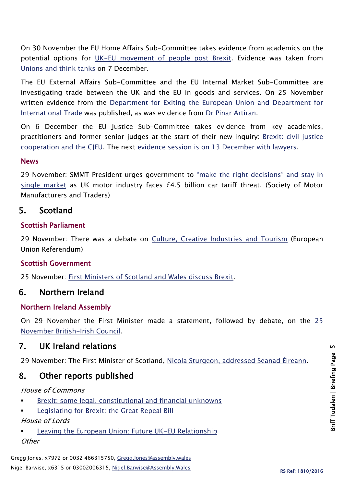On 30 November the EU Home Affairs Sub-Committee takes evidence from academics on the potential options for [UK-EU movement of people post Brexit.](http://www.parliament.uk/business/committees/committees-a-z/lords-select/eu-home-affairs-subcommittee/news-parliament-2015/academics-uk-eu-movement-inquiry-/) Evidence was taken from [Unions and think tanks](http://www.parliament.uk/business/committees/committees-a-z/lords-select/eu-home-affairs-subcommittee/news-parliament-2015/think-tanks-union-brexit/) on 7 December.

The EU External Affairs Sub-Committee and the EU Internal Market Sub-Committee are investigating trade between the UK and the EU in goods and services. On 25 November written evidence from the [Department for Exiting the European Union and Department for](http://data.parliament.uk/writtenevidence/committeeevidence.svc/evidencedocument/eu-internal-market-subcommittee/brexit-future-trade-between-the-uk-and-the-eu/written/43643.html)  [International Trade](http://data.parliament.uk/writtenevidence/committeeevidence.svc/evidencedocument/eu-internal-market-subcommittee/brexit-future-trade-between-the-uk-and-the-eu/written/43643.html) was published, as was evidence from [Dr Pinar Artiran.](http://data.parliament.uk/writtenevidence/committeeevidence.svc/evidencedocument/eu-internal-market-subcommittee/brexit-future-trade-between-the-uk-and-the-eu/written/43522.html)

On 6 December the EU Justice Sub-Committee takes evidence from key academics, practitioners and former senior judges at the start of their new inquiry: [Brexit: civil justice](http://www.parliament.uk/business/committees/committees-a-z/lords-select/eu-justice-subcommittee/news-parliament-2015/brexit-civil-justice-cooperation-cjeu/)  [cooperation and the CJEU.](http://www.parliament.uk/business/committees/committees-a-z/lords-select/eu-justice-subcommittee/news-parliament-2015/brexit-civil-justice-cooperation-cjeu/) The next [evidence session is on 13 December with lawyers.](http://www.parliament.uk/business/committees/committees-a-z/lords-select/eu-justice-subcommittee/inquiries/parliament-2015/brexit-civil-justice-cooperation/)

#### **News**

29 November: SMMT President urges government to "make the right decisions" and stay in [single market](https://www.smmt.co.uk/2016/11/smmt-president-urges-government-to-make-the-right-decisions/) as UK motor industry faces £4.5 billion car tariff threat. (Society of Motor Manufacturers and Traders)

## 5. Scotland

#### Scottish Parliament

29 November: There was a debate on [Culture, Creative Industries and Tourism](http://www.parliament.scot/parliamentarybusiness/report.aspx?r=10657&i=97922) (European Union Referendum)

## Scottish Government

25 November: [First Ministers of Scotland and Wales discuss Brexit.](http://news.gov.scot/news/first-ministers-of-scotland-and-wales-discuss-brexit)

# 6. Northern Ireland

#### Northern Ireland Assembly

On 29 November the First Minister made a statement, followed by debate, on the [25](http://aims.niassembly.gov.uk/officialreport/report.aspx?&eveDate=2016/11/29&docID=283509#2539603)  [November British-Irish Council.](http://aims.niassembly.gov.uk/officialreport/report.aspx?&eveDate=2016/11/29&docID=283509#2539603)

# 7. UK Ireland relations

29 November: The First Minister of Scotland, [Nicola Sturgeon, addressed Seanad Éireann.](http://oireachtasdebates.oireachtas.ie/debates%20authoring/debateswebpack.nsf/takes/seanad2016112900002?opendocument#A00100)

# 8. Other reports published

#### House of Commons

- [Brexit: some legal, constitutional and financial unknowns](http://researchbriefings.files.parliament.uk/documents/CBP-7761/CBP-7761.pdf)
- [Legislating for Brexit: the Great Repeal Bill](http://researchbriefings.parliament.uk/ResearchBriefing/Summary/CBP-7793#fullreport)

#### House of Lords

 [Leaving the European Union: Future UK-EU Relationship](http://researchbriefings.files.parliament.uk/documents/LLN-2016-0063/LLN-2016-0063.pdf) **Other**